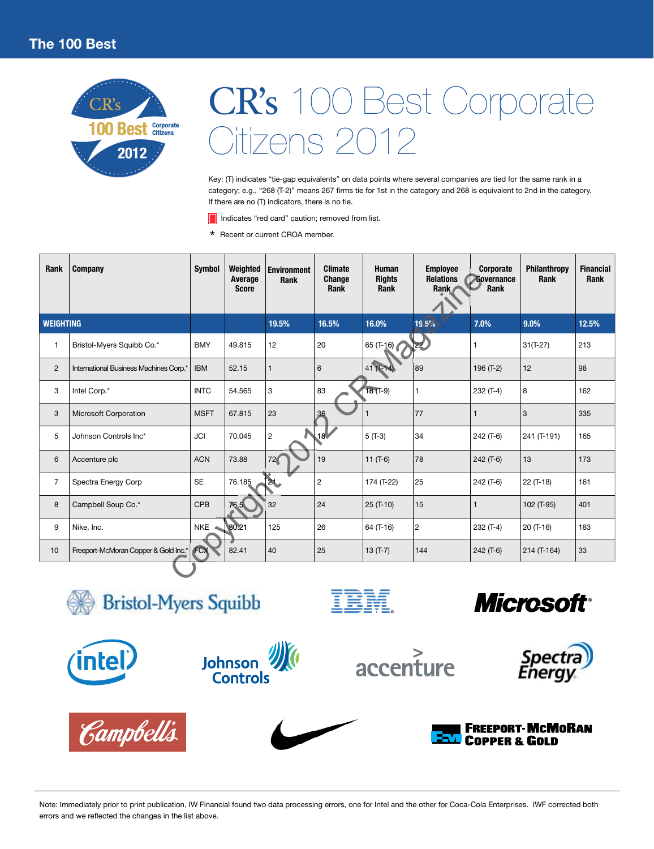

Key: (T) indicates "tie-gap equivalents" on data points where several companies are tied for the same rank in a category; e.g., "268 (T-2)" means 267 firms tie for 1st in the category and 268 is equivalent to 2nd in the category. If there are no (T) indicators, there is no tie.

Indicates "red card" caution; removed from list.

\* Recent or current CROA member.

| <b>Rank</b>      | <b>Company</b>                         | <b>Symbol</b> | Weighted<br>Average<br><b>Score</b> | <b>Environment</b><br>Rank | <b>Climate</b><br>Change<br>Rank | <b>Human</b><br><b>Rights</b><br>Rank | <b>Employee</b><br><b>Relations</b><br>Rank | <b>Corporate</b><br>Governance<br>Rank | Philanthropy<br>Rank | <b>Financial</b><br>Rank |
|------------------|----------------------------------------|---------------|-------------------------------------|----------------------------|----------------------------------|---------------------------------------|---------------------------------------------|----------------------------------------|----------------------|--------------------------|
| <b>WEIGHTING</b> |                                        |               |                                     | 19.5%                      | 16.5%                            | 16.0%                                 | $\blacktriangle$ 19.5%                      | 7.0%                                   | 9.0%                 | 12.5%                    |
| $\mathbf{1}$     | Bristol-Myers Squibb Co.*              | <b>BMY</b>    | 49.815                              | 12                         | 20                               | 65 $(T-16)$                           | 22                                          | 1                                      | $31(T-27)$           | 213                      |
| 2                | International Business Machines Corp." | <b>IBM</b>    | 52.15                               | $\mathbf{1}$               | 6                                | 41                                    | 89                                          | 196 (T-2)                              | 12                   | 98                       |
| 3                | Intel Corp.*                           | <b>INTC</b>   | 54.565                              | 3                          | 83                               | $18(1-9)$                             |                                             | 232 (T-4)                              | 8                    | 162                      |
| 3                | Microsoft Corporation                  | <b>MSFT</b>   | 67.815                              | 23                         | 36                               |                                       | 77                                          | 1                                      | 3                    | 335                      |
| 5                | Johnson Controls Inc*                  | <b>JCI</b>    | 70.045                              | $\overline{c}$             | .18V                             | $5($ T-3)                             | 34                                          | 242 (T-6)                              | 241 (T-191)          | 165                      |
| 6                | Accenture plc                          | <b>ACN</b>    | 73.88                               | 72<                        | 19                               | $11(T-6)$                             | 78                                          | $242(T-6)$                             | 13                   | 173                      |
| $\overline{7}$   | Spectra Energy Corp                    | <b>SE</b>     | 76.185                              | 21.                        | $\overline{c}$                   | 174 (T-22)                            | 25                                          | 242 (T-6)                              | 22 (T-18)            | 161                      |
| 8                | Campbell Soup Co.*                     | <b>CPB</b>    | 76.5                                | 32                         | 24                               | $25(T-10)$                            | 15                                          | 1                                      | 102 (T-95)           | 401                      |
| 9                | Nike, Inc.                             | <b>NKE</b>    | 80.21                               | 125                        | 26                               | 64 (T-16)                             | $\overline{c}$                              | 232 (T-4)                              | 20 (T-16)            | 183                      |
| 10               | Freeport-McMoran Copper & Gold Inc.*   | FCX           | 82.41                               | 40                         | 25                               | $13(T-7)$                             | 144                                         | $242($ T-6)                            | 214 (T-164)          | 33                       |
|                  |                                        |               |                                     |                            |                                  |                                       |                                             |                                        |                      |                          |

**Bristol-Myers Squibb** 



**Campbell's** 





IBM









Note: Immediately prior to print publication, IW Financial found two data processing errors, one for Intel and the other for Coca-Cola Enterprises. IWF corrected both errors and we reflected the changes in the list above.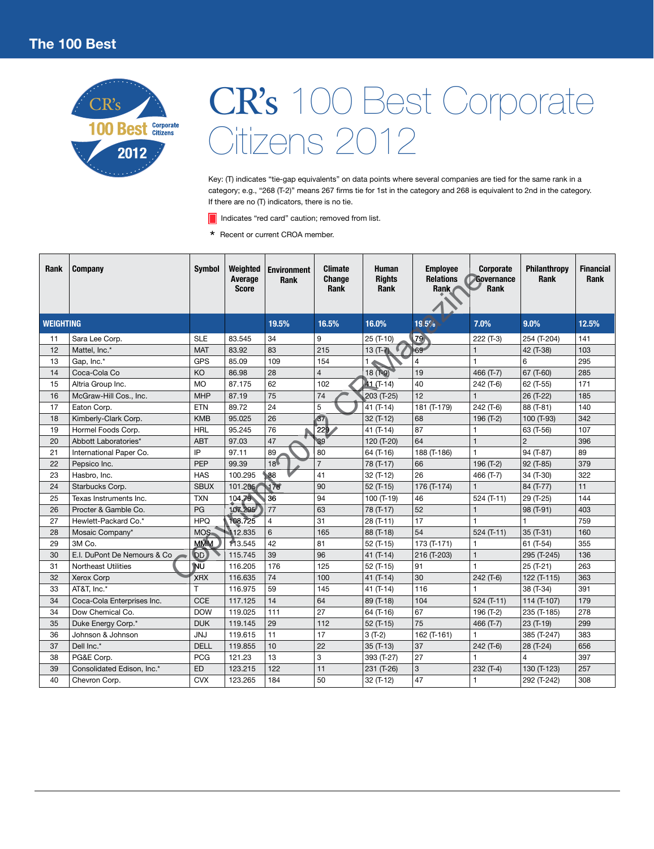

Key: (T) indicates "tie-gap equivalents" on data points where several companies are tied for the same rank in a category; e.g., "268 (T-2)" means 267 firms tie for 1st in the category and 268 is equivalent to 2nd in the category. If there are no (T) indicators, there is no tie.

Indicates "red card" caution; removed from list.

\* Recent or current CROA member.

| <b>Rank</b>      | Company                     | <b>Symbol</b> | Weighted<br>Average<br><b>Score</b> | <b>Environment</b><br>Rank | <b>Climate</b><br>Change<br><b>Rank</b> | <b>Human</b><br><b>Rights</b><br>Rank | <b>Employee</b><br><b>Relations</b><br>Rank | <b>Corporate</b><br>Governance<br>Rank | Philanthropy<br>Rank | <b>Financial</b><br>Rank |
|------------------|-----------------------------|---------------|-------------------------------------|----------------------------|-----------------------------------------|---------------------------------------|---------------------------------------------|----------------------------------------|----------------------|--------------------------|
| <b>WEIGHTING</b> |                             |               |                                     | 19.5%                      | 16.5%                                   | 16.0%                                 | 419.5%                                      | 7.0%                                   | 9.0%                 | 12.5%                    |
| 11               | Sara Lee Corp.              | <b>SLE</b>    | 83.545                              | 34                         | 9                                       | 25 (T-10)                             | 79                                          | 222 (T-3)                              | 254 (T-204)          | 141                      |
| 12               | Mattel. Inc.*               | <b>MAT</b>    | 83.92                               | 83                         | 215                                     | $13(T-7)$                             | 69                                          |                                        | 42 (T-38)            | 103                      |
| 13               | Gap, Inc.*                  | <b>GPS</b>    | 85.09                               | 109                        | 154                                     |                                       | 4                                           |                                        | 6                    | 295                      |
| 14               | Coca-Cola Co                | KO            | 86.98                               | 28                         | $\overline{4}$                          | $18(1-9)$                             | 19                                          | 466 (T-7)                              | 67 (T-60)            | 285                      |
| 15               | Altria Group Inc.           | <b>MO</b>     | 87.175                              | 62                         | 102                                     | 41 (T-14)                             | 40                                          | 242 (T-6)                              | 62 (T-55)            | 171                      |
| 16               | McGraw-Hill Cos., Inc.      | <b>MHP</b>    | 87.19                               | 75                         | 74                                      | $203($ T-25)                          | 12                                          | $\mathbf{1}$                           | 26 (T-22)            | 185                      |
| 17               | Eaton Corp.                 | <b>ETN</b>    | 89.72                               | 24                         | 5                                       | 41 $(T-14)$                           | 181 (T-179)                                 | 242 (T-6)                              | 88 (T-81)            | 140                      |
| 18               | Kimberly-Clark Corp.        | <b>KMB</b>    | 95.025                              | 26                         | 67                                      | 32 (T-12)                             | 68                                          | 196 (T-2)                              | 100 (T-93)           | 342                      |
| 19               | Hormel Foods Corp.          | <b>HRL</b>    | 95.245                              | 76                         | 229                                     | 41 $(T-14)$                           | 87                                          |                                        | 63 (T-56)            | 107                      |
| 20               | Abbott Laboratories*        | <b>ABT</b>    | 97.03                               | 47                         | <b>IB9</b>                              | 120 (T-20)                            | 64                                          | $\overline{1}$                         | $\overline{2}$       | 396                      |
| 21               | International Paper Co.     | IP            | 97.11                               | 89                         | 80                                      | 64 (T-16)                             | 188 (T-186)                                 | 1                                      | 94 (T-87)            | 89                       |
| 22               | Pepsico Inc.                | PEP           | 99.39                               | 18                         | $\overline{7}$                          | 78 (T-17)                             | 66                                          | 196 (T-2)                              | 92 (T-85)            | 379                      |
| 23               | Hasbro, Inc.                | <b>HAS</b>    | 100.295                             | 88                         | 41                                      | 32 (T-12)                             | 26                                          | 466 (T-7)                              | 34 (T-30)            | 322                      |
| 24               | Starbucks Corp.             | <b>SBUX</b>   | 101.205                             | 178                        | 90                                      | 52 (T-15)                             | 176 (T-174)                                 | $\overline{1}$                         | 84 (T-77)            | 11                       |
| 25               | Texas Instruments Inc.      | <b>TXN</b>    | 104.79                              | 36                         | 94                                      | 100 (T-19)                            | 46                                          | 524 (T-11)                             | 29 (T-25)            | 144                      |
| 26               | Procter & Gamble Co.        | PG            | 107.295                             | 77                         | 63                                      | 78 (T-17)                             | 52                                          | $\mathbf{1}$                           | 98 (T-91)            | 403                      |
| 27               | Hewlett-Packard Co.*        | <b>HPQ</b>    | 108.725                             | $\overline{4}$             | 31                                      | 28 (T-11)                             | 17                                          | 1                                      |                      | 759                      |
| 28               | Mosaic Company*             | <b>MOS</b>    | 12.835                              | 6                          | 165                                     | 88 (T-18)                             | 54                                          | $524(T-11)$                            | 35 (T-31)            | 160                      |
| 29               | 3M Co.                      | <b>MMM</b>    | 113.545                             | 42                         | 81                                      | 52 (T-15)                             | 173 (T-171)                                 | 1                                      | $61$ (T-54)          | 355                      |
| 30               | E.I. DuPont De Nemours & Co | (DD)          | 115.745                             | 39                         | 96                                      | 41 $(T-14)$                           | 216 (T-203)                                 | $\mathbf{1}$                           | 295 (T-245)          | 136                      |
| 31               | <b>Northeast Utilities</b>  | ÎNŬ           | 116.205                             | 176                        | 125                                     | 52 (T-15)                             | 91                                          | 1                                      | 25 (T-21)            | 263                      |
| 32               | Xerox Corp                  | <b>XRX</b>    | 116.635                             | 74                         | 100                                     | 41 (T-14)                             | 30                                          | 242 (T-6)                              | 122 (T-115)          | 363                      |
| 33               | AT&T. Inc.*                 | T             | 116.975                             | 59                         | 145                                     | 41 $(T-14)$                           | 116                                         | 1                                      | 38 (T-34)            | 391                      |
| 34               | Coca-Cola Enterprises Inc.  | <b>CCE</b>    | 117.125                             | 14                         | 64                                      | 89 (T-18)                             | 104                                         | $524(T-11)$                            | 114 (T-107)          | 179                      |
| 34               | Dow Chemical Co.            | <b>DOW</b>    | 119.025                             | 111                        | 27                                      | 64 (T-16)                             | 67                                          | 196 (T-2)                              | 235 (T-185)          | 278                      |
| 35               | Duke Energy Corp.*          | <b>DUK</b>    | 119.145                             | 29                         | 112                                     | $52(T-15)$                            | 75                                          | 466 (T-7)                              | 23 (T-19)            | 299                      |
| 36               | Johnson & Johnson           | <b>JNJ</b>    | 119.615                             | 11                         | 17                                      | $3(T-2)$                              | 162 (T-161)                                 | 1                                      | 385 (T-247)          | 383                      |
| 37               | Dell Inc.*                  | <b>DELL</b>   | 119.855                             | 10                         | 22                                      | $35(T-13)$                            | 37                                          | 242 (T-6)                              | 28 (T-24)            | 656                      |
| 38               | PG&E Corp.                  | <b>PCG</b>    | 121.23                              | 13                         | 3                                       | 393 (T-27)                            | 27                                          | 1                                      | 4                    | 397                      |
| 39               | Consolidated Edison, Inc.*  | ED            | 123.215                             | 122                        | 11                                      | 231 (T-26)                            | 3                                           | 232 (T-4)                              | 130 (T-123)          | 257                      |
| 40               | Chevron Corp.               | <b>CVX</b>    | 123.265                             | 184                        | 50                                      | 32 (T-12)                             | 47                                          | 1                                      | 292 (T-242)          | 308                      |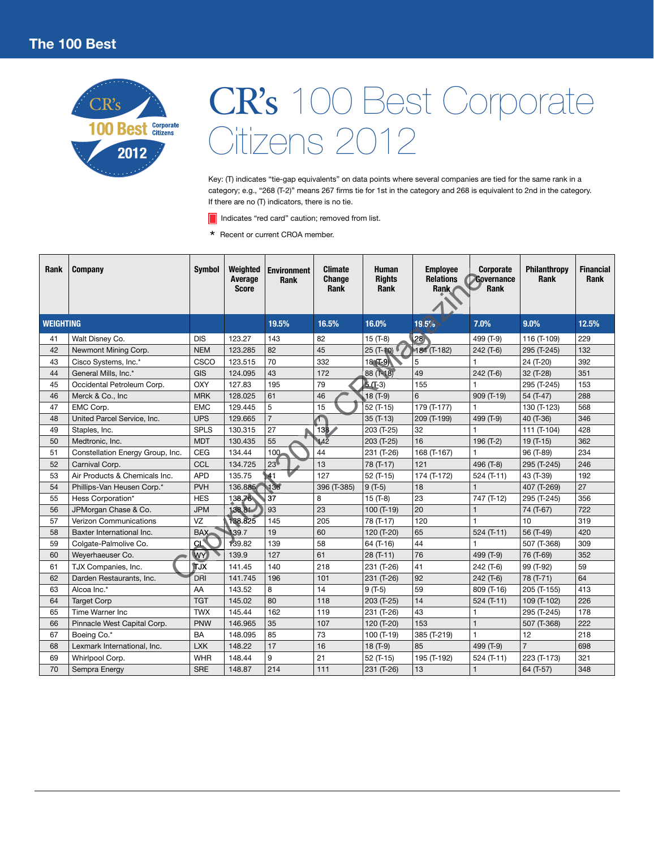

Key: (T) indicates "tie-gap equivalents" on data points where several companies are tied for the same rank in a category; e.g., "268 (T-2)" means 267 firms tie for 1st in the category and 268 is equivalent to 2nd in the category. If there are no (T) indicators, there is no tie.

Indicates "red card" caution; removed from list.

\* Recent or current CROA member.

| Rank             | Company                          | <b>Symbol</b> | Weighted<br>Average<br><b>Score</b> | <b>Environment</b><br>Rank | <b>Climate</b><br><b>Change</b><br>Rank | <b>Human</b><br><b>Rights</b><br><b>Rank</b> | <b>Employee</b><br><b>Relations</b><br>Rank | Corporate<br>Governance<br>Rank | Philanthropy<br>Rank | <b>Financial</b><br>Rank |
|------------------|----------------------------------|---------------|-------------------------------------|----------------------------|-----------------------------------------|----------------------------------------------|---------------------------------------------|---------------------------------|----------------------|--------------------------|
| <b>WEIGHTING</b> |                                  |               |                                     | 19.5%                      | 16.5%                                   | 16.0%                                        | 419.5%                                      | 7.0%                            | 9.0%                 | 12.5%                    |
| 41               | Walt Disney Co.                  | <b>DIS</b>    | 123.27                              | 143                        | 82                                      | $15(T-8)$                                    | 28 <sup>1</sup>                             | 499 (T-9)                       | 116 (T-109)          | 229                      |
| 42               | Newmont Mining Corp.             | <b>NEM</b>    | 123.285                             | 82                         | 45                                      | 25 (T-10)                                    | 184 (T-182)                                 | $242($ T-6)                     | 295 (T-245)          | 132                      |
| 43               | Cisco Systems, Inc.*             | CSCO          | 123.515                             | 70                         | 332                                     | $18(1-9)$                                    | 5                                           |                                 | 24 (T-20)            | 392                      |
| 44               | General Mills, Inc.*             | GIS           | 124.095                             | 43                         | 172                                     | 88 (T-18)                                    | 49                                          | $242($ T-6)                     | 32 (T-28)            | 351                      |
| 45               | Occidental Petroleum Corp.       | OXY           | 127.83                              | 195                        | 79                                      | $5(1-3)$                                     | 155                                         |                                 | 295 (T-245)          | 153                      |
| 46               | Merck & Co., Inc.                | <b>MRK</b>    | 128.025                             | 61                         | 46                                      | $18(T-9)$                                    | 6                                           | 909 (T-19)                      | 54 (T-47)            | 288                      |
| 47               | EMC Corp.                        | <b>EMC</b>    | 129.445                             | 5                          | 15                                      | 52 (T-15)                                    | 179 (T-177)                                 |                                 | 130 (T-123)          | 568                      |
| 48               | United Parcel Service, Inc.      | <b>UPS</b>    | 129.665                             | $\overline{7}$             |                                         | $35(T-13)$                                   | 209 (T-199)                                 | 499 (T-9)                       | 40 (T-36)            | 346                      |
| 49               | Staples, Inc.                    | <b>SPLS</b>   | 130.315                             | 27                         | 138⊿                                    | 203 (T-25)                                   | 32                                          |                                 | 111 (T-104)          | 428                      |
| 50               | Medtronic, Inc.                  | <b>MDT</b>    | 130.435                             | 55                         | 142                                     | 203 (T-25)                                   | 16                                          | 196 (T-2)                       | 19 (T-15)            | 362                      |
| 51               | Constellation Energy Group, Inc. | <b>CEG</b>    | 134.44                              | 100 <sub>1</sub>           | 44                                      | 231 (T-26)                                   | 168 (T-167)                                 |                                 | 96 (T-89)            | 234                      |
| 52               | Carnival Corp.                   | CCL           | 134.725                             | 23                         | 13                                      | 78 (T-17)                                    | 121                                         | 496 (T-8)                       | 295 (T-245)          | 246                      |
| 53               | Air Products & Chemicals Inc.    | <b>APD</b>    | 135.75                              | 41                         | 127                                     | $52(T-15)$                                   | 174 (T-172)                                 | $524$ (T-11)                    | 43 (T-39)            | 192                      |
| 54               | Phillips-Van Heusen Corp.*       | <b>PVH</b>    | 136.885/                            | 136'                       | 396 (T-385)                             | $9(T-5)$                                     | 18                                          | $\mathbf{1}$                    | 407 (T-269)          | 27                       |
| 55               | Hess Corporation*                | <b>HES</b>    | 138.76                              | 37                         | 8                                       | $15(T-8)$                                    | 23                                          | 747 (T-12)                      | 295 (T-245)          | 356                      |
| 56               | JPMorgan Chase & Co.             | <b>JPM</b>    | 138.81                              | 93                         | 23                                      | 100 (T-19)                                   | 20                                          | $\mathbf{1}$                    | 74 (T-67)            | 722                      |
| 57               | Verizon Communications           | VZ            | 138.825                             | 145                        | 205                                     | 78 (T-17)                                    | 120                                         | $\mathbf{1}$                    | 10                   | 319                      |
| 58               | Baxter International Inc.        | BAX           | 139.7                               | 19                         | 60                                      | 120 (T-20)                                   | 65                                          | 524 (T-11)                      | 56 (T-49)            | 420                      |
| 59               | Colgate-Palmolive Co.            | CL            | 139.82                              | 139                        | 58                                      | 64 (T-16)                                    | 44                                          | 1                               | 507 (T-368)          | 309                      |
| 60               | Weyerhaeuser Co.                 | (WY)          | 139.9                               | 127                        | 61                                      | 28 (T-11)                                    | 76                                          | 499 (T-9)                       | 76 (T-69)            | 352                      |
| 61               | TJX Companies, Inc.              | tjx           | 141.45                              | 140                        | 218                                     | 231 (T-26)                                   | 41                                          | 242 (T-6)                       | 99 (T-92)            | 59                       |
| 62               | Darden Restaurants, Inc.         | Dri i         | 141.745                             | 196                        | 101                                     | 231 (T-26)                                   | 92                                          | $242(T-6)$                      | 78 (T-71)            | 64                       |
| 63               | Alcoa Inc.*                      | AA            | 143.52                              | 8                          | 14                                      | $9(T-5)$                                     | 59                                          | 809 (T-16)                      | 205 (T-155)          | 413                      |
| 64               | <b>Target Corp</b>               | <b>TGT</b>    | 145.02                              | 80                         | 118                                     | 203 (T-25)                                   | 14                                          | $524$ (T-11)                    | 109 (T-102)          | 226                      |
| 65               | Time Warner Inc                  | <b>TWX</b>    | 145.44                              | 162                        | 119                                     | 231 (T-26)                                   | 43                                          | 1                               | 295 (T-245)          | 178                      |
| 66               | Pinnacle West Capital Corp.      | <b>PNW</b>    | 146.965                             | 35                         | 107                                     | 120 (T-20)                                   | 153                                         | $\mathbf{1}$                    | 507 (T-368)          | 222                      |
| 67               | Boeing Co.*                      | <b>BA</b>     | 148.095                             | 85                         | 73                                      | 100 (T-19)                                   | 385 (T-219)                                 | $\mathbf{1}$                    | 12                   | 218                      |
| 68               | Lexmark International, Inc.      | <b>LXK</b>    | 148.22                              | 17                         | 16                                      | 18 (T-9)                                     | 85                                          | 499 (T-9)                       | $\overline{7}$       | 698                      |
| 69               | Whirlpool Corp.                  | <b>WHR</b>    | 148.44                              | 9                          | 21                                      | 52 (T-15)                                    | 195 (T-192)                                 | 524 (T-11)                      | 223 (T-173)          | 321                      |
| 70               | Sempra Energy                    | <b>SRE</b>    | 148.87                              | 214                        | 111                                     | 231 (T-26)                                   | 13                                          | $\mathbf{1}$                    | 64 (T-57)            | 348                      |